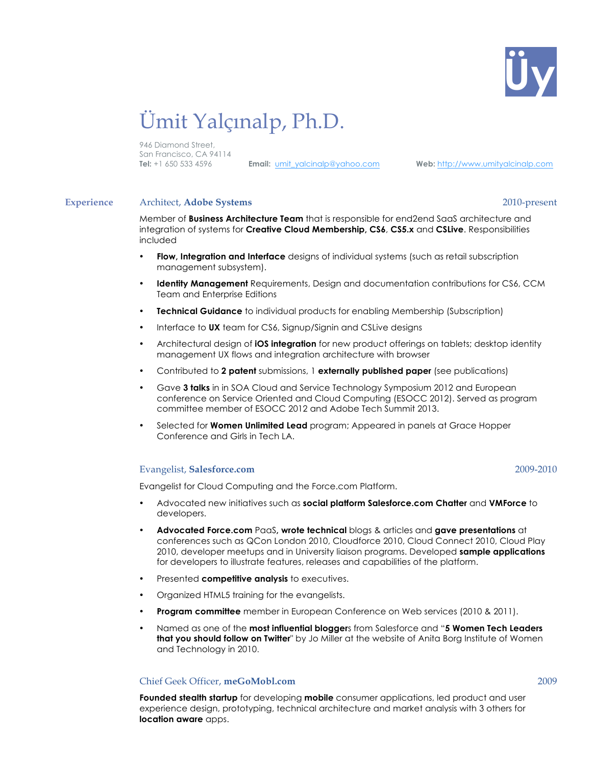

# Ümit Yalçınalp, Ph.D.

946 Diamond Street, San Francisco, CA 94114

**Tel:** +1 650 533 4596 **Email:** umit\_yalcinalp@yahoo.com **Web:** http://www.umityalcinalp.com

### **Experience** Architect, **Adobe Systems** 2010-present

Member of **Business Architecture Team** that is responsible for end2end SaaS architecture and integration of systems for **Creative Cloud Membership, CS6**, **CS5.x** and **CSLive**. Responsibilities included

- **Flow, Integration and Interface** designs of individual systems (such as retail subscription management subsystem).
- **Identity Management** Requirements, Design and documentation contributions for CS6, CCM Team and Enterprise Editions
- **Technical Guidance** to individual products for enabling Membership (Subscription)
- Interface to **UX** team for CS6, Signup/Signin and CSLive designs
- Architectural design of **iOS integration** for new product offerings on tablets; desktop identity management UX flows and integration architecture with browser
- Contributed to **2 patent** submissions, 1 **externally published paper** (see publications)
- Gave **3 talks** in in SOA Cloud and Service Technology Symposium 2012 and European conference on Service Oriented and Cloud Computing (ESOCC 2012). Served as program committee member of ESOCC 2012 and Adobe Tech Summit 2013.
- Selected for **Women Unlimited Lead** program; Appeared in panels at Grace Hopper Conference and Girls in Tech LA.

### Evangelist, **Salesforce.com** 2009-2010

Evangelist for Cloud Computing and the Force.com Platform.

- Advocated new initiatives such as **social platform Salesforce.com Chatter** and **VMForce** to developers.
- **Advocated Force.com** PaaS**, wrote technical** blogs & articles and **gave presentations** at conferences such as QCon London 2010, Cloudforce 2010, Cloud Connect 2010, Cloud Play 2010, developer meetups and in University liaison programs. Developed **sample applications** for developers to illustrate features, releases and capabilities of the platform.
- Presented **competitive analysis** to executives.
- Organized HTML5 training for the evangelists.
- **Program committee** member in European Conference on Web services (2010 & 2011).
- Named as one of the **most influential blogger**s from Salesforce and "**5 Women Tech Leaders that you should follow on Twitter**" by Jo Miller at the website of Anita Borg Institute of Women and Technology in 2010.

### Chief Geek Officer, **meGoMobl.com** 2009

**Founded stealth startup** for developing **mobile** consumer applications, led product and user experience design, prototyping, technical architecture and market analysis with 3 others for **location aware** apps.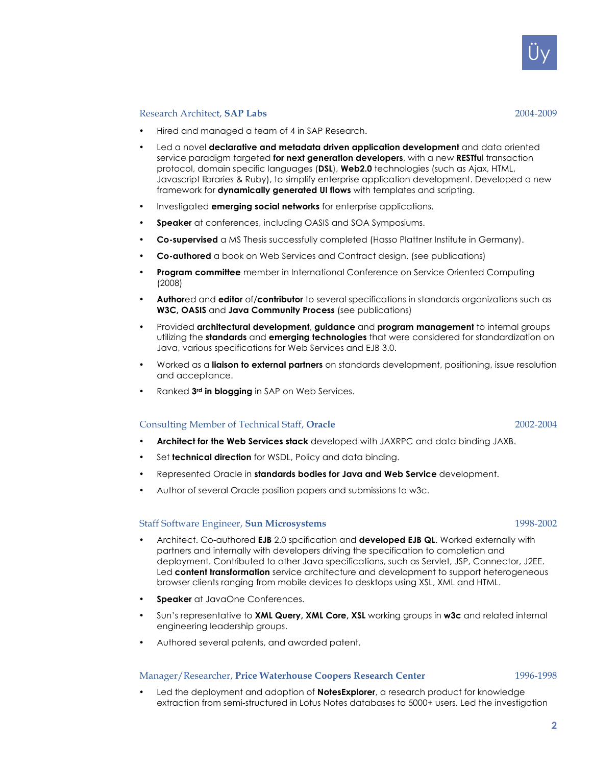Üy

- Research Architect, **SAP Labs** 2004-2009
- Hired and managed a team of 4 in SAP Research.
- Led a novel **declarative and metadata driven application development** and data oriented service paradigm targeted **for next generation developers**, with a new **RESTfu**l transaction protocol, domain specific languages (**DSL**), **Web2.0** technologies (such as Ajax, HTML, Javascript libraries & Ruby), to simplify enterprise application development. Developed a new framework for **dynamically generated UI flows** with templates and scripting.
- Investigated **emerging social networks** for enterprise applications.
- **Speaker** at conferences, including OASIS and SOA Symposiums.
- **Co-supervised** a MS Thesis successfully completed (Hasso Plattner Institute in Germany).
- **Co-authored** a book on Web Services and Contract design. (see publications)
- **Program committee** member in International Conference on Service Oriented Computing (2008)
- **Author**ed and **editor** of/**contributor** to several specifications in standards organizations such as **W3C, OASIS** and **Java Community Process** (see publications)
- Provided **architectural development**, **guidance** and **program management** to internal groups utilizing the **standards** and **emerging technologies** that were considered for standardization on Java, various specifications for Web Services and EJB 3.0.
- Worked as a **liaison to external partners** on standards development, positioning, issue resolution and acceptance.
- Ranked **3rd in blogging** in SAP on Web Services.

### Consulting Member of Technical Staff, **Oracle** 2002-2004

- **Architect for the Web Services stack** developed with JAXRPC and data binding JAXB.
- Set **technical direction** for WSDL, Policy and data binding.
- Represented Oracle in **standards bodies for Java and Web Service** development.
- Author of several Oracle position papers and submissions to w3c.

### Staff Software Engineer, **Sun Microsystems** 1998-2002

- Architect. Co-authored **EJB** 2.0 spcification and **developed EJB QL**. Worked externally with partners and internally with developers driving the specification to completion and deployment. Contributed to other Java specifications, such as Servlet, JSP, Connector, J2EE. Led **content transformation** service architecture and development to support heterogeneous browser clients ranging from mobile devices to desktops using XSL, XML and HTML.
- **Speaker** at JavaOne Conferences.
- Sun's representative to **XML Query, XML Core, XSL** working groups in **w3c** and related internal engineering leadership groups.
- Authored several patents, and awarded patent.

### Manager/Researcher, **Price Waterhouse Coopers Research Center** 1996-1998

• Led the deployment and adoption of **NotesExplorer**, a research product for knowledge extraction from semi-structured in Lotus Notes databases to 5000+ users. Led the investigation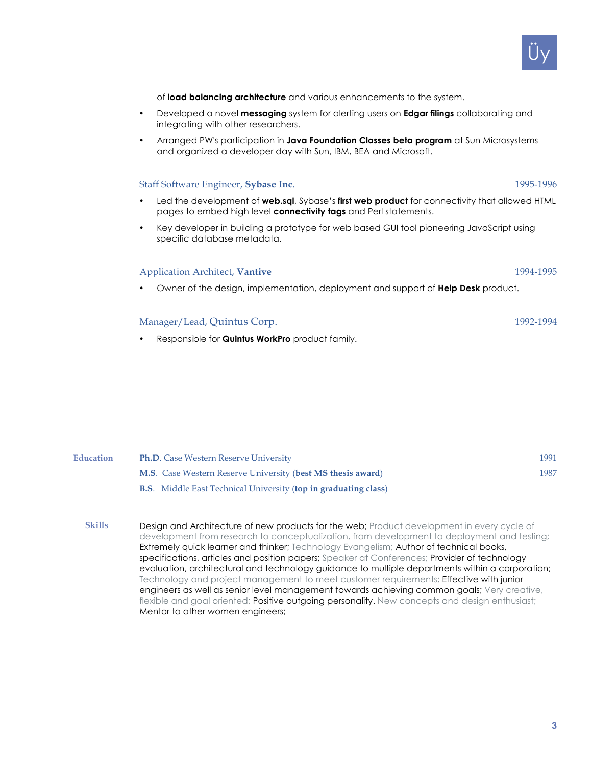### of **load balancing architecture** and various enhancements to the system.

- Developed a novel **messaging** system for alerting users on **Edgar filings** collaborating and integrating with other researchers.
- Arranged PW's participation in **Java Foundation Classes beta program** at Sun Microsystems and organized a developer day with Sun, IBM, BEA and Microsoft.

### Staff Software Engineer, **Sybase Inc**. 1995-1996

- Led the development of **web.sql**, Sybase's **first web product** for connectivity that allowed HTML pages to embed high level **connectivity tags** and Perl statements.
- Key developer in building a prototype for web based GUI tool pioneering JavaScript using specific database metadata.

## Application Architect, **Vantive** 1994-1995

• Owner of the design, implementation, deployment and support of **Help Desk** product.

# Manager/Lead, Ouintus Corp. 1992-1994

• Responsible for **Quintus WorkPro** product family.

- **Education Ph.D**. Case Western Reserve University 1991 **M.S**. Case Western Reserve University (**best MS thesis award**) 1987 **B.S**. Middle East Technical University (**top in graduating class**)
	- **Skills** Design and Architecture of new products for the web; Product development in every cycle of development from research to conceptualization, from development to deployment and testing; Extremely quick learner and thinker; Technology Evangelism; Author of technical books, specifications, articles and position papers; Speaker at Conferences; Provider of technology evaluation, architectural and technology guidance to multiple departments within a corporation; Technology and project management to meet customer requirements; Effective with junior engineers as well as senior level management towards achieving common goals; Very creative, flexible and goal oriented; Positive outgoing personality. New concepts and design enthusiast; Mentor to other women engineers;

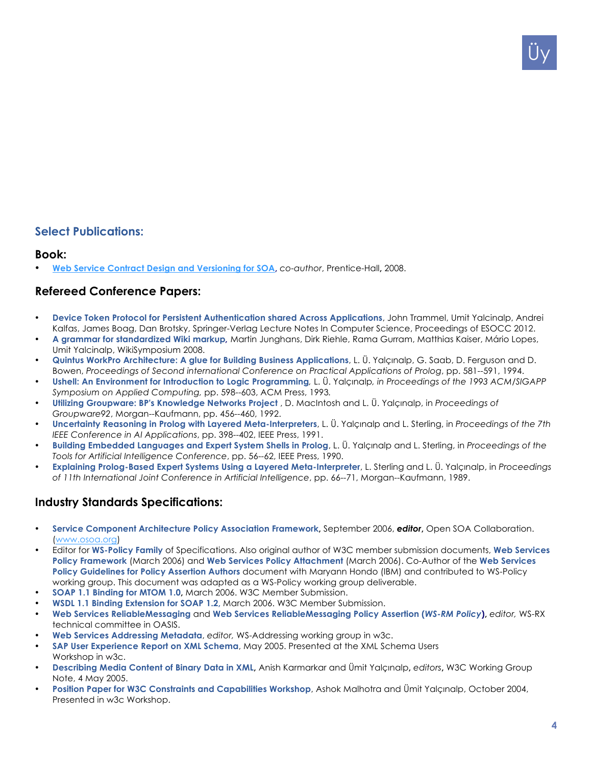# **Select Publications:**

### **Book:**

• **Web Service Contract Design and Versioning for SOA,** *co-author*, Prentice-Hall**,** 2008.

# **Refereed Conference Papers:**

- **Device Token Protocol for Persistent Authentication shared Across Applications**, John Trammel, Umit Yalcinalp, Andrei Kalfas, James Boag, Dan Brotsky, Springer-Verlag Lecture Notes In Computer Science, Proceedings of ESOCC 2012.
- **A grammar for standardized Wiki markup***,* Martin Junghans, Dirk Riehle, Rama Gurram, Matthias Kaiser, Mário Lopes, Umit Yalcinalp, WikiSymposium 2008.
- **Quintus WorkPro Architecture: A glue for Building Business Applications**, L. Ü. Yalçınalp, G. Saab, D. Ferguson and D. Bowen, *Proceedings of Second international Conference on Practical Applications of Prolog*, pp. 581--591, 1994.
- **Ushell: An Environment for Introduction to Logic Programming***,* L. Ü. Yalçınalp*, in Proceedings of the 1993 ACM/SIGAPP Symposium on Applied Computing,* pp. 598--603, ACM Press, 1993*.*
- **Utilizing Groupware: BP's Knowledge Networks Project** , D. MacIntosh and L. Ü. Yalçınalp, in *Proceedings of Groupware92*, Morgan--Kaufmann, pp. 456--460, 1992.
- **Uncertainty Reasoning in Prolog with Layered Meta-Interpreters**, L. Ü. Yalçınalp and L. Sterling, in *Proceedings of the 7th IEEE Conference in AI Applications*, pp. 398--402, IEEE Press, 1991.
- **Building Embedded Languages and Expert System Shells in Prolog**, L. Ü. Yalçınalp and L. Sterling, in *Proceedings of the Tools for Artificial Intelligence Conference*, pp. 56--62, IEEE Press, 1990.
- **Explaining Prolog-Based Expert Systems Using a Layered Meta-Interpreter**, L. Sterling and L. Ü. Yalçınalp, in *Proceedings of 11th International Joint Conference in Artificial Intelligence*, pp. 66--71, Morgan--Kaufmann, 1989.

# **Industry Standards Specifications:**

- **Service Component Architecture Policy Association Framework,** September 2006, *editor***,** Open SOA Collaboration. (www.osoa.org)
- Editor for **WS-Policy Family** of Specifications. Also original author of W3C member submission documents, **Web Services Policy Framework** (March 2006) and **Web Services Policy Attachment** (March 2006). Co-Author of the **Web Services Policy Guidelines for Policy Assertion Authors** document with Maryann Hondo (IBM) and contributed to WS-Policy working group. This document was adapted as a WS-Policy working group deliverable.
- **SOAP 1.1 Binding for MTOM 1.0,** March 2006. W3C Member Submission.
- **WSDL 1.1 Binding Extension for SOAP 1.2,** March 2006. W3C Member Submission.
- **Web Services ReliableMessaging** and **Web Services ReliableMessaging Policy Assertion (***WS-RM Policy***),** *editor,* WS-RX technical committee in OASIS.
- **Web Services Addressing Metadata**, *editor,* WS-Addressing working group in w3c.
- **SAP User Experience Report on XML Schema**, May 2005. Presented at the XML Schema Users Workshop in w3c.
- **Describing Media Content of Binary Data in XML,** Anish Karmarkar and Ümit Yalçınalp**,** *editors***,** W3C Working Group Note, 4 May 2005.
- **Position Paper for W3C Constraints and Capabilities Workshop**, Ashok Malhotra and Ümit Yalçınalp, October 2004, Presented in w3c Workshop.

Üy